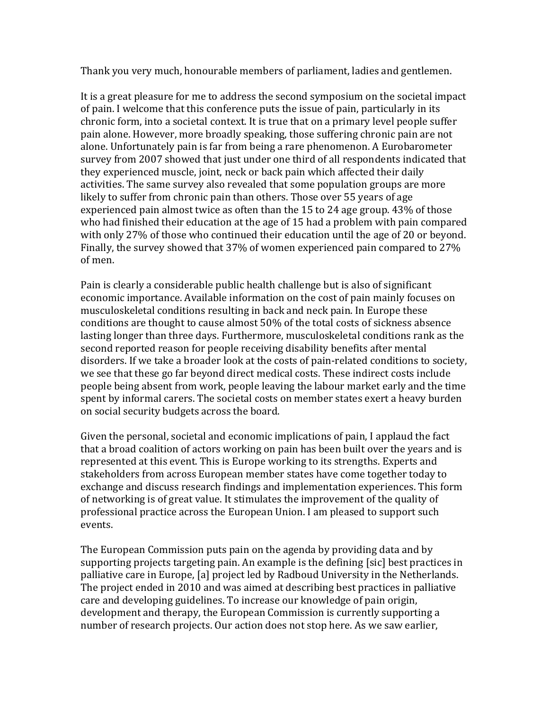Thank you very much, honourable members of parliament, ladies and gentlemen.

It is a great pleasure for me to address the second symposium on the societal impact of pain. I welcome that this conference puts the issue of pain, particularly in its chronic form, into a societal context. It is true that on a primary level people suffer pain alone. However, more broadly speaking, those suffering chronic pain are not alone. Unfortunately pain is far from being a rare phenomenon. A Eurobarometer survey from 2007 showed that just under one third of all respondents indicated that they experienced muscle, joint, neck or back pain which affected their daily activities. The same survey also revealed that some population groups are more likely to suffer from chronic pain than others. Those over 55 years of age experienced pain almost twice as often than the 15 to 24 age group. 43% of those who had finished their education at the age of 15 had a problem with pain compared with only 27% of those who continued their education until the age of 20 or beyond. Finally, the survey showed that 37% of women experienced pain compared to 27% of men.

Pain is clearly a considerable public health challenge but is also of significant economic importance. Available information on the cost of pain mainly focuses on musculoskeletal conditions resulting in back and neck pain. In Europe these conditions are thought to cause almost 50% of the total costs of sickness absence lasting longer than three days. Furthermore, musculoskeletal conditions rank as the second reported reason for people receiving disability benefits after mental disorders. If we take a broader look at the costs of pain‐related conditions to society, we see that these go far beyond direct medical costs. These indirect costs include people being absent from work, people leaving the labour market early and the time spent by informal carers. The societal costs on member states exert a heavy burden on social security budgets across the board.

Given the personal, societal and economic implications of pain, I applaud the fact that a broad coalition of actors working on pain has been built over the years and is represented at this event. This is Europe working to its strengths. Experts and stakeholders from across European member states have come together today to exchange and discuss research findings and implementation experiences. This form of networking is of great value. It stimulates the improvement of the quality of professional practice across the European Union. I am pleased to support such events.

The European Commission puts pain on the agenda by providing data and by supporting projects targeting pain. An example is the defining [sic] best practices in palliative care in Europe, [a] project led by Radboud University in the Netherlands. The project ended in 2010 and was aimed at describing best practices in palliative care and developing guidelines. To increase our knowledge of pain origin, development and therapy, the European Commission is currently supporting a number of research projects. Our action does not stop here. As we saw earlier,